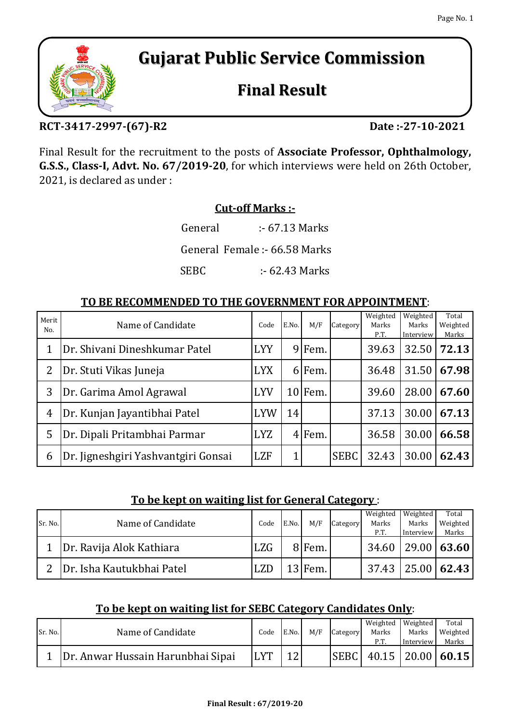# **Gujarat Public Service Commission**

## **Final Result**

### **RCT-3417-2997-(67)-R2**

Final Result for the recruitment to the posts of **Associate Professor, Ophthalmology, G.S.S., Class-I, Advt. No. 67/2019-20**, for which interviews were held on 26th October, 2021, is declared as under :

#### **Cut-off Marks :-**

SEBC :- 62.43 Marks General :- 67.13 Marks General Female :- 66.58 Marks

#### **TO BE RECOMMENDED TO THE GOVERNMENT FOR APPOINTMENT**:

| Merit<br>No.   | Name of Candidate                   | Code       | E.No.        | M/F                | Category    | Weighted<br>Marks<br>P.T. | Weighted<br>Marks<br>Interview | Total<br>Weighted<br>Marks |
|----------------|-------------------------------------|------------|--------------|--------------------|-------------|---------------------------|--------------------------------|----------------------------|
|                | Dr. Shivani Dineshkumar Patel       | <b>LYY</b> | 9            | Fem.               |             | 39.63                     | 32.50                          | 72.13                      |
| 2              | Dr. Stuti Vikas Juneja              | <b>LYX</b> | 61           | Fem.               |             | 36.48                     | 31.50                          | 67.98                      |
| 3              | Dr. Garima Amol Agrawal             | <b>LYV</b> |              | 10 <sub>Fem.</sub> |             | 39.60                     | 28.00                          | 67.60                      |
| $\overline{4}$ | Dr. Kunjan Jayantibhai Patel        | <b>LYW</b> | 14           |                    |             | 37.13                     | 30.00                          | 67.13                      |
| 5              | Dr. Dipali Pritambhai Parmar        | <b>LYZ</b> |              | 4 Fem.             |             | 36.58                     | 30.00                          | 66.58                      |
| 6              | Dr. Jigneshgiri Yashvantgiri Gonsai | <b>LZF</b> | $\mathbf{1}$ |                    | <b>SEBC</b> | 32.43                     | 30.00                          | 62.43                      |

#### **To be kept on waiting list for General Category** :

|         |                           |            |       |           |          | Weighted | Weighted  | Total                   |
|---------|---------------------------|------------|-------|-----------|----------|----------|-----------|-------------------------|
| Sr. No. | Name of Candidate         | Code       | E.No. | M/F       | Category | Marks    | Marks     | Weighted                |
|         |                           |            |       |           |          | P.T.     | Interview | Marks                   |
|         | Dr. Ravija Alok Kathiara  | <b>LZG</b> |       | 8 Fem.    |          |          |           | $34.60$   29.00   63.60 |
|         | Dr. Isha Kautukbhai Patel | <b>LZD</b> |       | $13$ Fem. |          |          |           | $37.43$   25.00   62.43 |

#### **To be kept on waiting list for SEBC Category Candidates Only**:

|         |                                   |             |       |     |          | Weighted               | Weighted  | Total    |
|---------|-----------------------------------|-------------|-------|-----|----------|------------------------|-----------|----------|
| Sr. No. | Name of Candidate                 | Code        | E.No. | M/F | Category | Marks                  | Marks     | Weighted |
|         |                                   |             |       |     |          | P.T.                   | Interview | Marks    |
|         | Dr. Anwar Hussain Harunbhai Sipai | <b>ILYT</b> |       |     |          | SEBC 40.15 20.00 60.15 |           |          |



**Date :-27-10-2021**